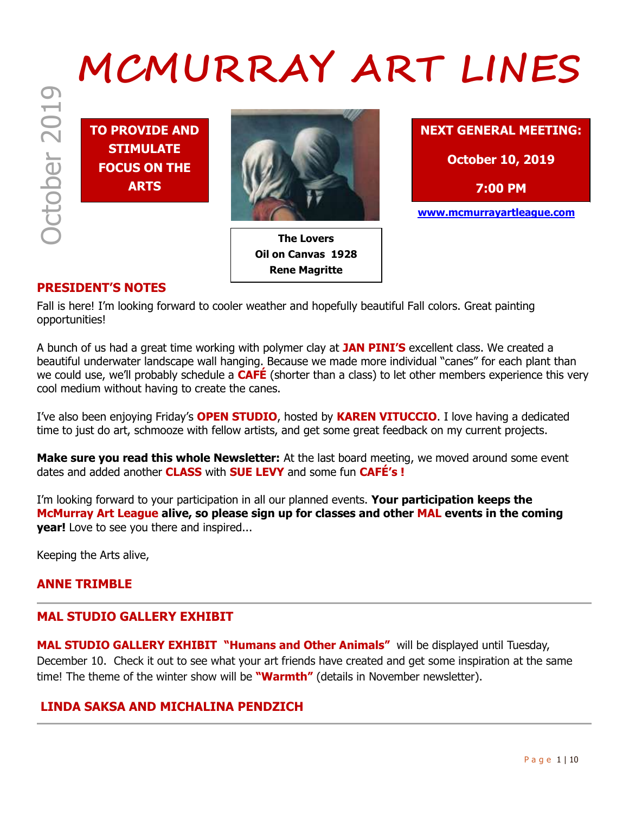# October 2019 **MCMURRAY ART LINES**

**TO PROVIDE AND STIMULATE FOCUS ON THE ARTS**



**The Lovers Oil on Canvas 1928 Rene Magritte**



**www.mcmurrayartleague.com**

# **PRESIDENT'S NOTES**

Fall is here! I'm looking forward to cooler weather and hopefully beautiful Fall colors. Great painting opportunities!

A bunch of us had a great time working with polymer clay at **JAN PINI'S** excellent class. We created a beautiful underwater landscape wall hanging. Because we made more individual "canes" for each plant than we could use, we'll probably schedule a **CAFÉ** (shorter than a class) to let other members experience this very cool medium without having to create the canes.

I've also been enjoying Friday's **OPEN STUDIO**, hosted by **KAREN VITUCCIO**. I love having a dedicated time to just do art, schmooze with fellow artists, and get some great feedback on my current projects.

**Make sure you read this whole Newsletter:** At the last board meeting, we moved around some event dates and added another **CLASS** with **SUE LEVY** and some fun **CAFÉ's !**

I'm looking forward to your participation in all our planned events. **Your participation keeps the McMurray Art League alive, so please sign up for classes and other MAL events in the coming year!** Love to see you there and inspired...

Keeping the Arts alive,

## **ANNE TRIMBLE**

## **MAL STUDIO GALLERY EXHIBIT**

**MAL STUDIO GALLERY EXHIBIT "Humans and Other Animals"** will be displayed until Tuesday, December 10. Check it out to see what your art friends have created and get some inspiration at the same time! The theme of the winter show will be **"Warmth"** (details in November newsletter).

## **LINDA SAKSA AND MICHALINA PENDZICH**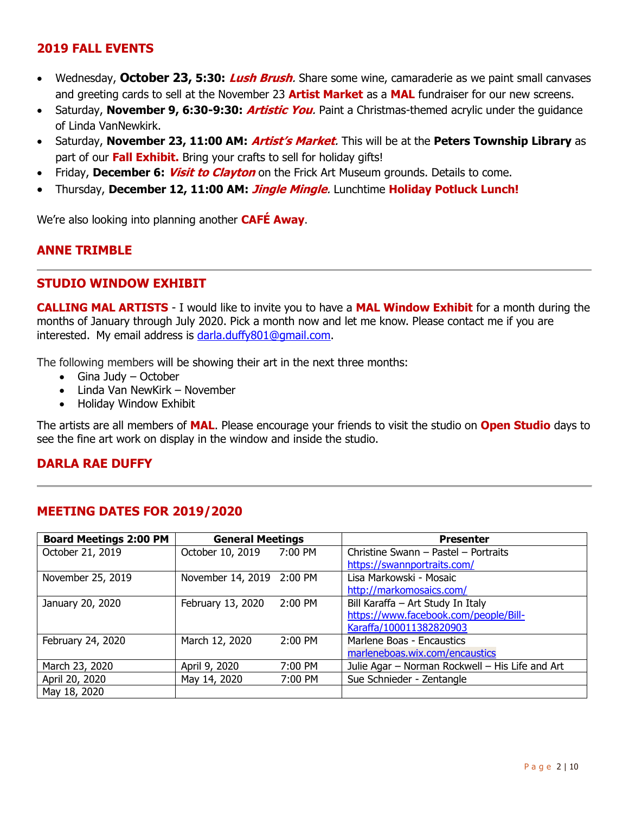# **2019 FALL EVENTS**

- Wednesday, **October 23, 5:30: Lush Brush**. Share some wine, camaraderie as we paint small canvases and greeting cards to sell at the November 23 **Artist Market** as a **MAL** fundraiser for our new screens.
- Saturday, **November 9, 6:30-9:30: Artistic You**. Paint a Christmas-themed acrylic under the guidance of Linda VanNewkirk.
- Saturday, **November 23, 11:00 AM: Artist's Market**. This will be at the **Peters Township Library** as part of our **Fall Exhibit.** Bring your crafts to sell for holiday gifts!
- Friday, **December 6: Visit to Clayton** on the Frick Art Museum grounds. Details to come.
- Thursday, **December 12, 11:00 AM: Jingle Mingle**. Lunchtime **Holiday Potluck Lunch!**

We're also looking into planning another **CAFÉ Away**.

# **ANNE TRIMBLE**

#### **STUDIO WINDOW EXHIBIT**

**CALLING MAL ARTISTS** - I would like to invite you to have a **MAL Window Exhibit** for a month during the months of January through July 2020. Pick a month now and let me know. Please contact me if you are interested. My email address is [darla.duffy801@gmail.com.](file:///C:/Users/prebh/Desktop/darla.duffy801@gmail.com)

The following members will be showing their art in the next three months:

- $\bullet$  Gina Judy October
- Linda Van NewKirk November
- Holiday Window Exhibit

The artists are all members of **MAL**. Please encourage your friends to visit the studio on **Open Studio** days to see the fine art work on display in the window and inside the studio.

## **DARLA RAE DUFFY**

#### **MEETING DATES FOR 2019/2020**

| <b>Board Meetings 2:00 PM</b> | <b>General Meetings</b>   |         | <b>Presenter</b>                                |
|-------------------------------|---------------------------|---------|-------------------------------------------------|
| October 21, 2019              | October 10, 2019 7:00 PM  |         | Christine Swann - Pastel - Portraits            |
|                               |                           |         | https://swannportraits.com/                     |
| November 25, 2019             | November 14, 2019 2:00 PM |         | Lisa Markowski - Mosaic                         |
|                               |                           |         | http://markomosaics.com/                        |
| January 20, 2020              | February 13, 2020         | 2:00 PM | Bill Karaffa - Art Study In Italy               |
|                               |                           |         | https://www.facebook.com/people/Bill-           |
|                               |                           |         | Karaffa/100011382820903                         |
| February 24, 2020             | March 12, 2020            | 2:00 PM | Marlene Boas - Encaustics                       |
|                               |                           |         | marleneboas.wix.com/encaustics                  |
| March 23, 2020                | April 9, 2020             | 7:00 PM | Julie Agar - Norman Rockwell - His Life and Art |
| April 20, 2020                | May 14, 2020              | 7:00 PM | Sue Schnieder - Zentangle                       |
| May 18, 2020                  |                           |         |                                                 |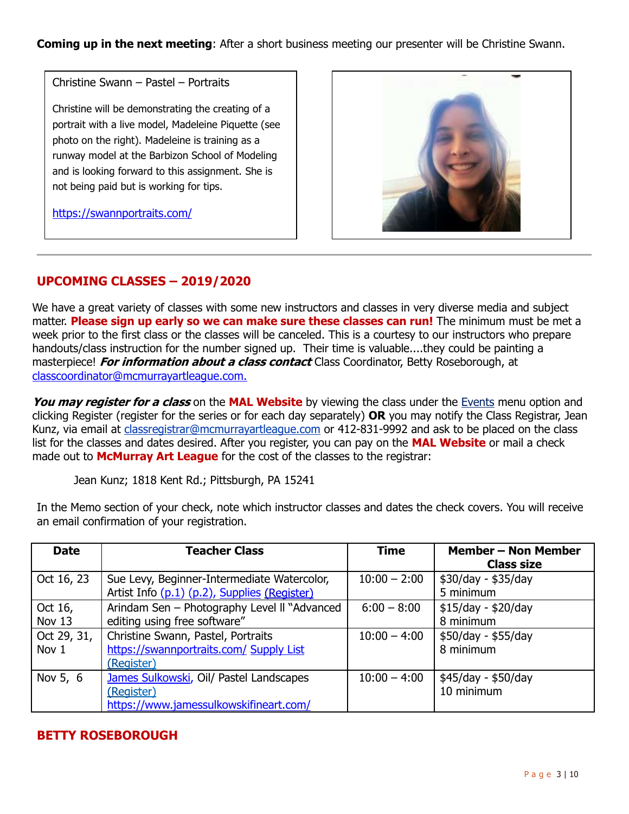**Coming up in the next meeting:** After a short business meeting our presenter will be Christine Swann.

Christine Swann – Pastel – Portraits

Christine will be demonstrating the creating of a portrait with a live model, Madeleine Piquette (see photo on the right). Madeleine is training as a runway model at the Barbizon School of Modeling and is looking forward to this assignment. She is not being paid but is working for tips.



https://swannportraits.com/

# **UPCOMING CLASSES – 2019/2020**

We have a great variety of classes with some new instructors and classes in very diverse media and subject matter. **Please sign up early so we can make sure these classes can run!** The minimum must be met a week prior to the first class or the classes will be canceled. This is a courtesy to our instructors who prepare handouts/class instruction for the number signed up. Their time is valuable....they could be painting a masterpiece! **For information about a class contact** Class Coordinator, Betty Roseborough, at [classcoordinator@mcmurrayartleague.com.](mailto:classcoordinator@mcmurrayartleague.com.)

**You may register for a class** on the **MAL Website** by viewing the class under the [Events](https://www.mcmurrayartleague.com/page-1498580) menu option and clicking Register (register for the series or for each day separately) **OR** you may notify the Class Registrar, Jean Kunz, via email at [classregistrar@mcmurrayartleague.com](mailto:classregistrar@mcmurrayartleague.com) or 412-831-9992 and ask to be placed on the class list for the classes and dates desired. After you register, you can pay on the **MAL Website** or mail a check made out to **McMurray Art League** for the cost of the classes to the registrar:

Jean Kunz; 1818 Kent Rd.; Pittsburgh, PA 15241

| <b>Date</b>          | <b>Teacher Class</b>                                                                            | <b>Time</b>    | <b>Member - Non Member</b><br><b>Class size</b> |
|----------------------|-------------------------------------------------------------------------------------------------|----------------|-------------------------------------------------|
| Oct 16, 23           | Sue Levy, Beginner-Intermediate Watercolor,<br>Artist Info (p.1) (p.2), Supplies (Register)     | $10:00 - 2:00$ | \$30/day - \$35/day<br>5 minimum                |
| Oct 16,<br>Nov 13    | Arindam Sen - Photography Level II "Advanced<br>editing using free software"                    | $6:00 - 8:00$  | $$15/day - $20/day$<br>8 minimum                |
| Oct 29, 31,<br>Nov 1 | Christine Swann, Pastel, Portraits<br>https://swannportraits.com/ Supply List<br>(Register)     | $10:00 - 4:00$ | \$50/day - \$55/day<br>8 minimum                |
| Nov 5, 6             | James Sulkowski, Oil/ Pastel Landscapes<br>(Register)<br>https://www.jamessulkowskifineart.com/ | $10:00 - 4:00$ | \$45/day - \$50/day<br>10 minimum               |

In the Memo section of your check, note which instructor classes and dates the check covers. You will receive an email confirmation of your registration.

# **BETTY ROSEBOROUGH**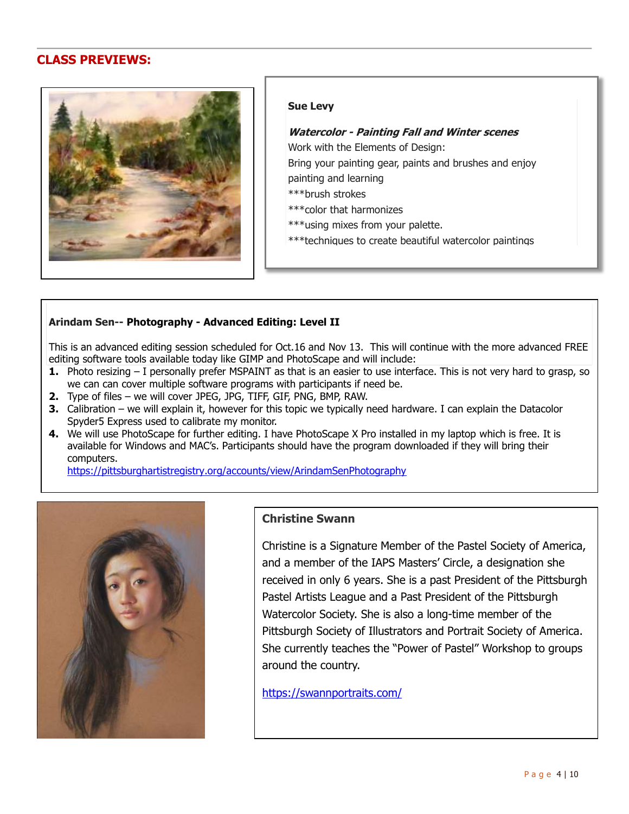# **CLASS PREVIEWS:**



#### **Sue Levy**

#### **Watercolor - Painting Fall and Winter scenes**

Work with the Elements of Design:

Bring your painting gear, paints and brushes and enjoy painting and learning

- \*\*\*brush strokes
- \*\*\*color that harmonizes
- \*\*\*using mixes from your palette.
- \*\*\*techniques to create beautiful watercolor paintings

#### **Arindam Sen-- Photography - Advanced Editing: Level II**

This is an advanced editing session scheduled for Oct.16 and Nov 13. This will continue with the more advanced FREE editing software tools available today like GIMP and PhotoScape and will include:

- **1.** Photo resizing I personally prefer MSPAINT as that is an easier to use interface. This is not very hard to grasp, so we can can cover multiple software programs with participants if need be.
- **2.** Type of files we will cover JPEG, JPG, TIFF, GIF, PNG, BMP, RAW.
- **3.** Calibration we will explain it, however for this topic we typically need hardware. I can explain the Datacolor Spyder5 Express used to calibrate my monitor.
- **4.** We will use PhotoScape for further editing. I have PhotoScape X Pro installed in my laptop which is free. It is available for Windows and MAC's. Participants should have the program downloaded if they will bring their computers.

https://pittsburghartistregistry.org/accounts/view/ArindamSenPhotography



#### **Christine Swann**

Christine is a Signature Member of the Pastel Society of America, and a member of the IAPS Masters' Circle, a designation she received in only 6 years. She is a past President of the Pittsburgh Pastel Artists League and a Past President of the Pittsburgh Watercolor Society. She is also a long-time member of the Pittsburgh Society of Illustrators and Portrait Society of America. She currently teaches the "Power of Pastel" Workshop to groups around the country.

https://swannportraits.com/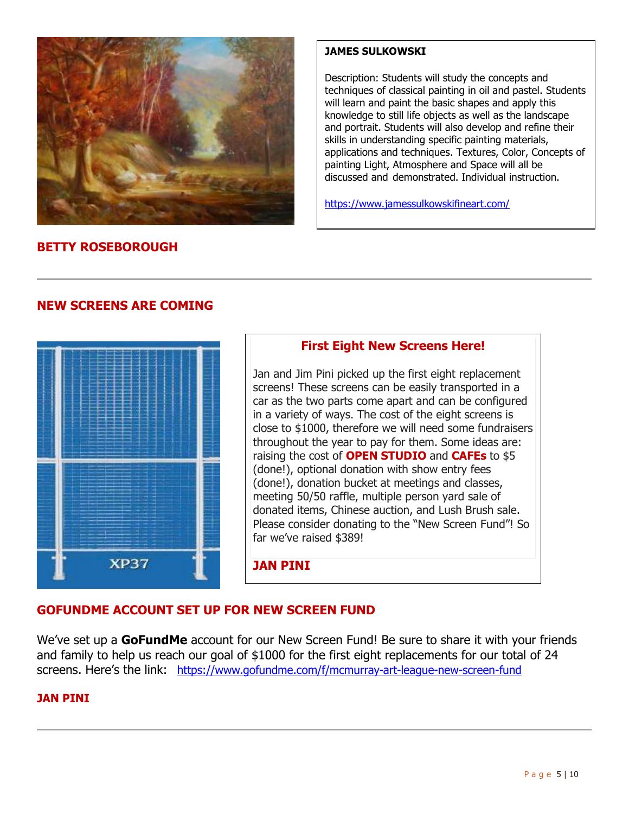

#### **JAMES SULKOWSKI**

Description: Students will study the concepts and techniques of classical painting in oil and pastel. Students will learn and paint the basic shapes and apply this knowledge to still life objects as well as the landscape and portrait. Students will also develop and refine their skills in understanding specific painting materials, applications and techniques. Textures, Color, Concepts of painting Light, Atmosphere and Space will all be discussed and demonstrated. Individual instruction.

https://www.jamessulkowskifineart.com/

# **BETTY ROSEBOROUGH**

# **NEW SCREENS ARE COMING**



# **First Eight New Screens Here!**

Jan and Jim Pini picked up the first eight replacement screens! These screens can be easily transported in a car as the two parts come apart and can be configured in a variety of ways. The cost of the eight screens is close to \$1000, therefore we will need some fundraisers throughout the year to pay for them. Some ideas are: raising the cost of **OPEN STUDIO** and **CAFEs** to \$5 (done!), optional donation with show entry fees (done!), donation bucket at meetings and classes, meeting 50/50 raffle, multiple person yard sale of donated items, Chinese auction, and Lush Brush sale. Please consider donating to the "New Screen Fund"! So far we've raised \$389!

**JAN PINI**

# **GOFUNDME ACCOUNT SET UP FOR NEW SCREEN FUND**

We've set up a **GoFundMe** account for our New Screen Fund! Be sure to share it with your friends and family to help us reach our goal of \$1000 for the first eight replacements for our total of 24 screens. Here's the link: <https://www.gofundme.com/f/mcmurray-art-league-new-screen-fund>

## **JAN PINI**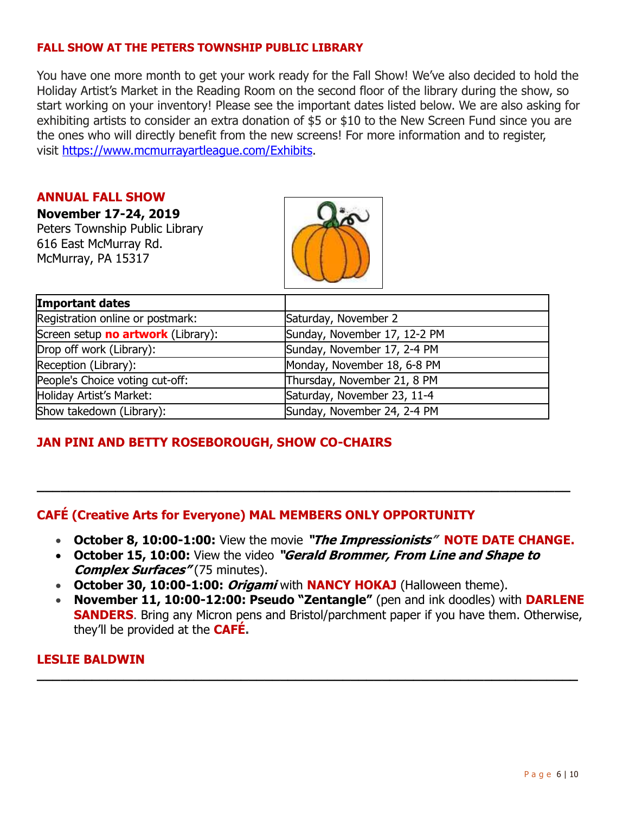## **FALL SHOW AT THE PETERS TOWNSHIP PUBLIC LIBRARY**

You have one more month to get your work ready for the Fall Show! We've also decided to hold the Holiday Artist's Market in the Reading Room on the second floor of the library during the show, so start working on your inventory! Please see the important dates listed below. We are also asking for exhibiting artists to consider an extra donation of \$5 or \$10 to the New Screen Fund since you are the ones who will directly benefit from the new screens! For more information and to register, visit [https://www.mcmurrayartleague.com/Exhibits.](https://www.mcmurrayartleague.com/Exhibits)

#### **ANNUAL FALL SHOW**

**November 17-24, 2019**

Peters Township Public Library 616 East McMurray Rd. McMurray, PA 15317



| Important dates                    |                              |
|------------------------------------|------------------------------|
| Registration online or postmark:   | Saturday, November 2         |
| Screen setup no artwork (Library): | Sunday, November 17, 12-2 PM |
| Drop off work (Library):           | Sunday, November 17, 2-4 PM  |
| Reception (Library):               | Monday, November 18, 6-8 PM  |
| People's Choice voting cut-off:    | Thursday, November 21, 8 PM  |
| Holiday Artist's Market:           | Saturday, November 23, 11-4  |
| Show takedown (Library):           | Sunday, November 24, 2-4 PM  |

# **JAN PINI AND BETTY ROSEBOROUGH, SHOW CO-CHAIRS**

# **CAFÉ (Creative Arts for Everyone) MAL MEMBERS ONLY OPPORTUNITY**

- **October 8, 10:00-1:00:** View the movie **"The Impressionists" NOTE DATE CHANGE.**
- **October 15, 10:00:** View the video **"Gerald Brommer, From Line and Shape to Complex Surfaces"** (75 minutes).

**\_\_\_\_\_\_\_\_\_\_\_\_\_\_\_\_\_\_\_\_\_\_\_\_\_\_\_\_\_\_\_\_\_\_\_\_\_\_\_\_\_\_\_\_\_\_\_\_\_\_\_\_\_\_\_\_\_\_\_\_\_\_\_\_\_\_\_\_**

- **October 30, 10:00-1:00: Origami** with **NANCY HOKAJ** (Halloween theme).
- **November 11, 10:00-12:00: Pseudo "Zentangle"** (pen and ink doodles) with **DARLENE SANDERS**. Bring any Micron pens and Bristol/parchment paper if you have them. Otherwise, they'll be provided at the **CAFÉ.**

**\_\_\_\_\_\_\_\_\_\_\_\_\_\_\_\_\_\_\_\_\_\_\_\_\_\_\_\_\_\_\_\_\_\_\_\_\_\_\_\_\_\_\_\_\_\_\_\_\_\_\_\_\_\_\_\_\_\_\_\_\_\_\_\_\_\_\_\_\_**

## **LESLIE BALDWIN**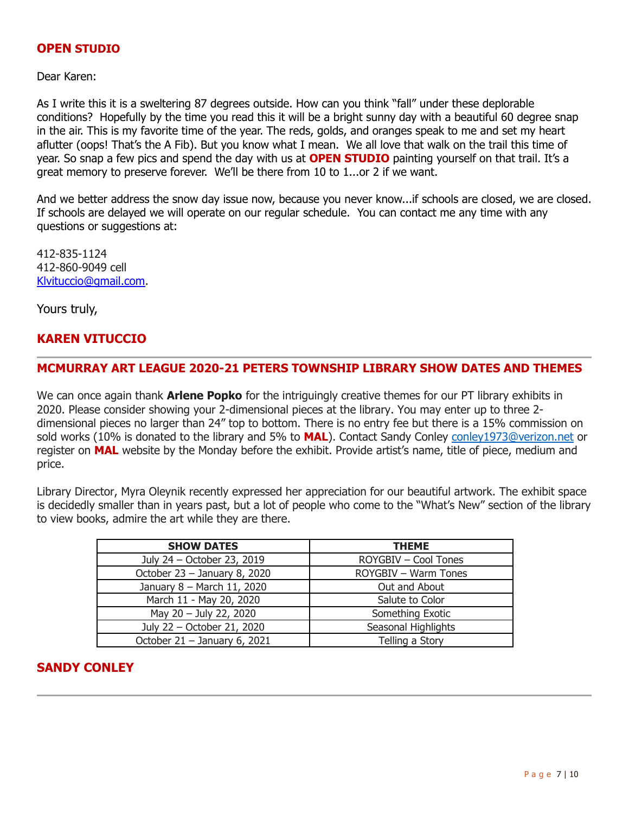#### **OPEN STUDIO**

Dear Karen:

As I write this it is a sweltering 87 degrees outside. How can you think "fall" under these deplorable conditions? Hopefully by the time you read this it will be a bright sunny day with a beautiful 60 degree snap in the air. This is my favorite time of the year. The reds, golds, and oranges speak to me and set my heart aflutter (oops! That's the A Fib). But you know what I mean. We all love that walk on the trail this time of year. So snap a few pics and spend the day with us at **OPEN STUDIO** painting yourself on that trail. It's a great memory to preserve forever. We'll be there from 10 to 1...or 2 if we want.

And we better address the snow day issue now, because you never know...if schools are closed, we are closed. If schools are delayed we will operate on our regular schedule. You can contact me any time with any questions or suggestions at:

412-835-1124 412-860-9049 cell [Klvituccio@gmail.com.](mailto:Klvituccio@gmail.com)

Yours truly,

# **KAREN VITUCCIO**

#### **MCMURRAY ART LEAGUE 2020-21 PETERS TOWNSHIP LIBRARY SHOW DATES AND THEMES**

We can once again thank **Arlene Popko** for the intriguingly creative themes for our PT library exhibits in 2020. Please consider showing your 2-dimensional pieces at the library. You may enter up to three 2 dimensional pieces no larger than 24" top to bottom. There is no entry fee but there is a 15% commission on sold works (10% is donated to the library and 5% to **MAL**). Contact Sandy Conley [conley1973@verizon.net](mailto:conley1973@verizon.net) or register on **MAL** website by the Monday before the exhibit. Provide artist's name, title of piece, medium and price.

Library Director, Myra Oleynik recently expressed her appreciation for our beautiful artwork. The exhibit space is decidedly smaller than in years past, but a lot of people who come to the "What's New" section of the library to view books, admire the art while they are there.

| <b>SHOW DATES</b>            | <b>THEME</b>         |  |
|------------------------------|----------------------|--|
| July 24 - October 23, 2019   | ROYGBIV - Cool Tones |  |
| October 23 - January 8, 2020 | ROYGBIV - Warm Tones |  |
| January 8 - March 11, 2020   | Out and About        |  |
| March 11 - May 20, 2020      | Salute to Color      |  |
| May 20 - July 22, 2020       | Something Exotic     |  |
| July 22 - October 21, 2020   | Seasonal Highlights  |  |
| October 21 - January 6, 2021 | Telling a Story      |  |

## **SANDY CONLEY**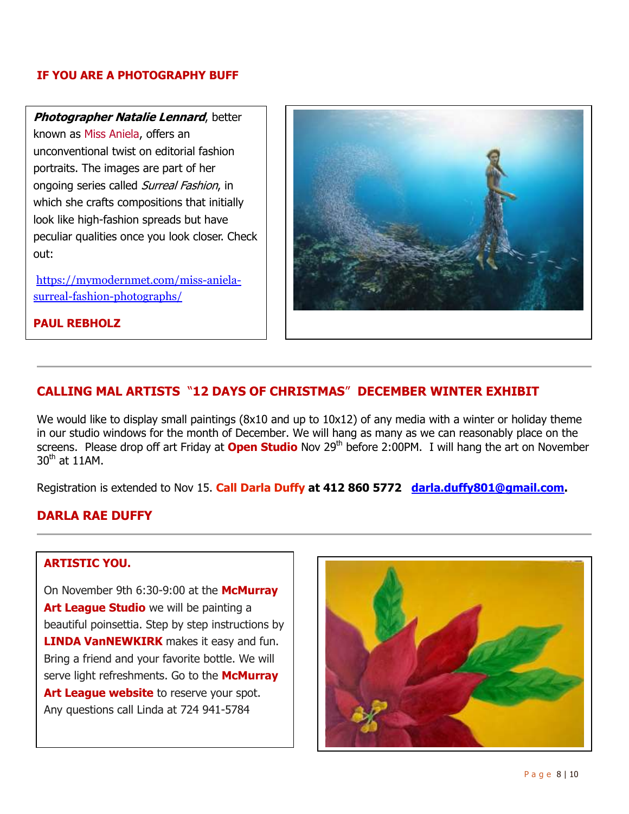#### **IF YOU ARE A PHOTOGRAPHY BUFF**

**Photographer Natalie Lennard**, better

known as Miss Aniela, offers an unconventional twist on editorial fashion portraits. The images are part of her ongoing series called Surreal Fashion, in which she crafts compositions that initially look like high-fashion spreads but have peculiar qualities once you look closer. Check out:

https://mymodernmet.com/miss-anielasurreal-fashion-photographs/



#### **PAUL REBHOLZ**

# **CALLING MAL ARTISTS** "**12 DAYS OF CHRISTMAS**" **DECEMBER WINTER EXHIBIT**

We would like to display small paintings (8x10 and up to 10x12) of any media with a winter or holiday theme in our studio windows for the month of December. We will hang as many as we can reasonably place on the screens. Please drop off art Friday at **Open Studio** Nov 29<sup>th</sup> before 2:00PM. I will hang the art on November  $30<sup>th</sup>$  at 11AM.

Registration is extended to Nov 15. **Call Darla Duffy at 412 860 5772 [darla.duffy801@gmail.com.](mailto:darla.duffy801@gmail.com)**

# **DARLA RAE DUFFY**

## **ARTISTIC YOU.**

On November 9th 6:30-9:00 at the **McMurray Art League Studio** we will be painting a beautiful poinsettia. Step by step instructions by **LINDA VanNEWKIRK** makes it easy and fun. Bring a friend and your favorite bottle. We will serve light refreshments. Go to the **McMurray**  Art League website to reserve your spot. Any questions call Linda at 724 941-5784

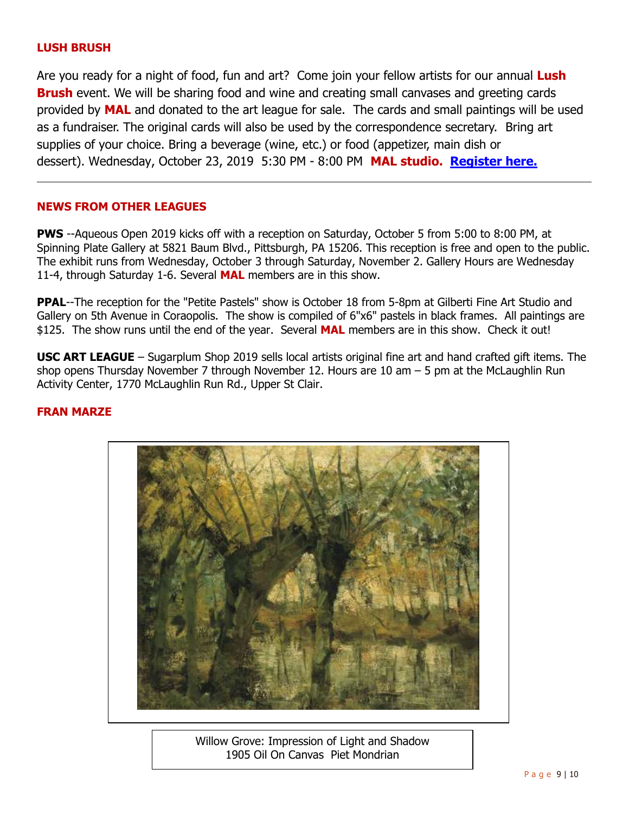#### **LUSH BRUSH**

Are you ready for a night of food, fun and art? Come join your fellow artists for our annual **Lush Brush** event. We will be sharing food and wine and creating small canvases and greeting cards provided by **MAL** and donated to the art league for sale. The cards and small paintings will be used as a fundraiser. The original cards will also be used by the correspondence secretary. Bring art supplies of your choice. Bring a beverage (wine, etc.) or food (appetizer, main dish or dessert). Wednesday, October 23, 2019 5:30 PM - 8:00 PM **MAL studio. [Register here.](https://mcmurrayartleague.com/event-3459013)**

#### **NEWS FROM OTHER LEAGUES**

**PWS** --Aqueous Open 2019 kicks off with a reception on Saturday, October 5 from 5:00 to 8:00 PM, at Spinning Plate Gallery at 5821 Baum Blvd., Pittsburgh, PA 15206. This reception is free and open to the public. The exhibit runs from Wednesday, October 3 through Saturday, November 2. Gallery Hours are Wednesday 11-4, through Saturday 1-6. Several **MAL** members are in this show.

**PPAL--The reception for the "Petite Pastels" show is October 18 from 5-8pm at Gilberti Fine Art Studio and** Gallery on 5th Avenue in Coraopolis. The show is compiled of 6"x6" pastels in black frames. All paintings are \$125. The show runs until the end of the year. Several **MAL** members are in this show. Check it out!

**USC ART LEAGUE** – Sugarplum Shop 2019 sells local artists original fine art and hand crafted gift items. The shop opens Thursday November 7 through November 12. Hours are 10 am – 5 pm at the McLaughlin Run Activity Center, 1770 McLaughlin Run Rd., Upper St Clair.

#### **FRAN MARZE**



Willow Grove: Impression of Light and Shadow 1905 Oil On Canvas Piet Mondrian